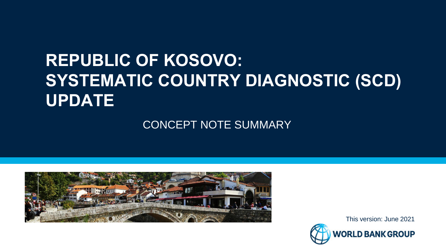# **REPUBLIC OF KOSOVO: SYSTEMATIC COUNTRY DIAGNOSTIC (SCD) UPDATE**

CONCEPT NOTE SUMMARY



This version: June 2021ORLD BANK GROUP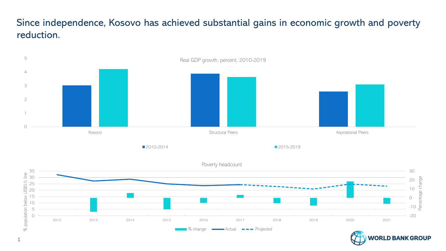## Since independence, Kosovo has achieved substantial gains in economic growth and poverty reduction.

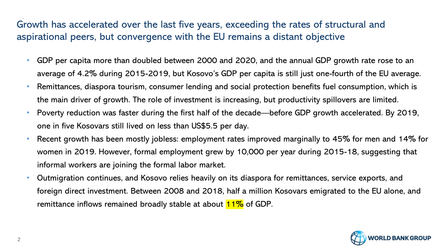## Growth has accelerated over the last five years, exceeding the rates of structural and aspirational peers, but convergence with the EU remains a distant objective

- GDP per capita more than doubled between 2000 and 2020, and the annual GDP growth rate rose to an average of 4.2% during 2015-2019, but Kosovo's GDP per capita is still just one-fourth of the EU average.
- Remittances, diaspora tourism, consumer lending and social protection benefits fuel consumption, which is the main driver of growth. The role of investment is increasing, but productivity spillovers are limited.
- Poverty reduction was faster during the first half of the decade—before GDP growth accelerated. By 2019, one in five Kosovars still lived on less than US\$5.5 per day.
- Recent growth has been mostly jobless: employment rates improved marginally to 45% for men and 14% for women in 2019. However, formal employment grew by 10,000 per year during 2015-18, suggesting that informal workers are joining the formal labor market.
- Outmigration continues, and Kosovo relies heavily on its diaspora for remittances, service exports, and foreign direct investment. Between 2008 and 2018, half a million Kosovars emigrated to the EU alone, and remittance inflows remained broadly stable at about  $11\%$  of GDP.

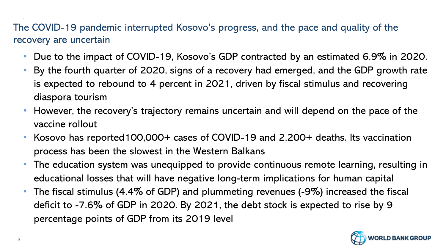## The COVID-19 pandemic interrupted Kosovo's progress, and the pace and quality of the recovery are uncertain

- Due to the impact of COVID-19, Kosovo's GDP contracted by an estimated 6.9% in 2020.
- By the fourth quarter of 2020, signs of a recovery had emerged, and the GDP growth rate is expected to rebound to 4 percent in 2021, driven by fiscal stimulus and recovering diaspora tourism
- However, the recovery's trajectory remains uncertain and will depend on the pace of the vaccine rollout
- Kosovo has reported100,000+ cases of COVID-19 and 2,200+ deaths. Its vaccination process has been the slowest in the Western Balkans
- The education system was unequipped to provide continuous remote learning, resulting in educational losses that will have negative long-term implications for human capital
- The fiscal stimulus (4.4% of GDP) and plummeting revenues (-9%) increased the fiscal deficit to -7.6% of GDP in 2020. By 2021, the debt stock is expected to rise by 9 percentage points of GDP from its 2019 level

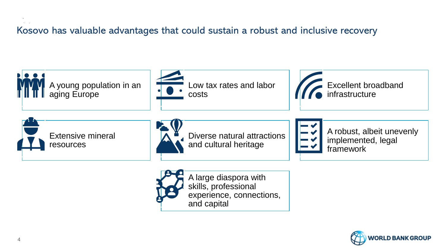## Kosovo has valuable advantages that could sustain a robust and inclusive recovery



and capital

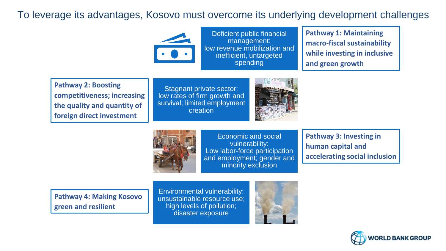## To leverage its advantages, Kosovo must overcome its underlying development challenges



Deficient public financial management: low revenue mobilization and inefficient, untargeted spending

**Pathway 1: Maintaining macro-fiscal sustainability while investing in inclusive and green growth**

**Pathway 2: Boosting competitiveness; increasing the quality and quantity of foreign direct investment**

Stagnant private sector: low rates of firm growth and survival; limited employment creation





Economic and social vulnerability: Low labor-force participation and employment; gender and minority exclusion

**Pathway 3: Investing in human capital and accelerating social inclusion**

**Pathway 4: Making Kosovo green and resilient**

Environmental vulnerability: unsustainable resource use; high levels of pollution; disaster exposure



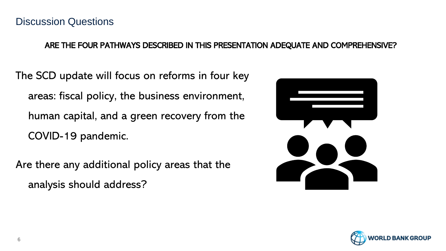### ARE THE FOUR PATHWAYS DESCRIBED IN THIS PRESENTATION ADEQUATE AND COMPREHENSIVE?

The SCD update will focus on reforms in four key areas: fiscal policy, the business environment, human capital, and a green recovery from the COVID-19 pandemic.

Are there any additional policy areas that the analysis should address?



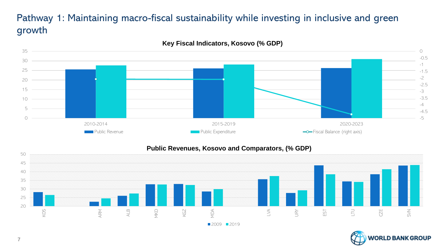## Pathway 1: Maintaining macro-fiscal sustainability while investing in inclusive and green growth



**Key Fiscal Indicators, Kosovo (% GDP)**

#### **Public Revenues, Kosovo and Comparators, (% GDP)**



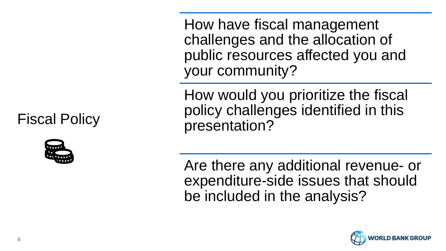Fiscal Policy



How have fiscal management challenges and the allocation of public resources affected you and your community?

How would you prioritize the fiscal policy challenges identified in this presentation?

Are there any additional revenue- or expenditure-side issues that should be included in the analysis?

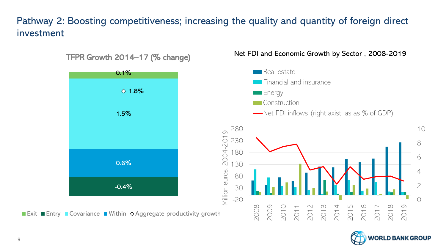## Pathway 2: Boosting competitiveness; increasing the quality and quantity of foreign direct investment



Net FDI and Economic Growth by Sector , 2008-2019

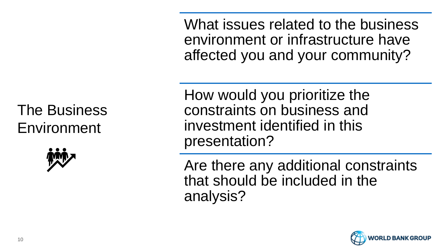What issues related to the business environment or infrastructure have affected you and your community?

# The Business Environment



How would you prioritize the constraints on business and investment identified in this presentation?

Are there any additional constraints that should be included in the analysis?

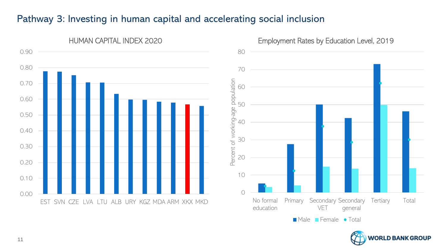## Pathway 3: Investing in human capital and accelerating social inclusion





11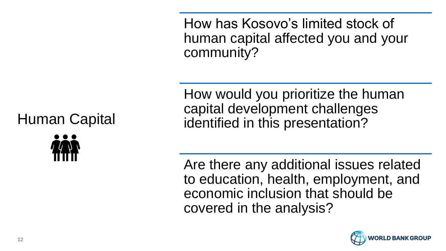How has Kosovo's limited stock of human capital affected you and your community?

How would you prioritize the human capital development challenges identified in this presentation?

Are there any additional issues related to education, health, employment, and economic inclusion that should be covered in the analysis?



## Human Capital

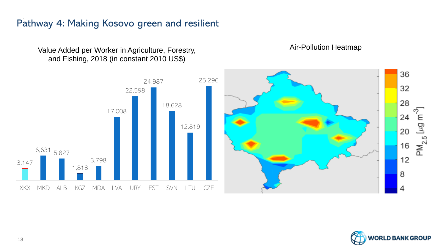## Pathway 4: Making Kosovo green and resilient

Value Added per Worker in Agriculture, Forestry, and Fishing, 2018 (in constant 2010 US\$)

36 25,296 24,987 32 22,598 28 18,628 ှာ<br>E 17,008 24  $\mathsf{PM}_{2.5}$ [µg 12,819 20 16 6,631 5,827 12 3,798 3,147 1,813 8 XKX MKD ALB KGZ MDA LVA URY EST SVN LTU CZE 4



Air-Pollution Heatmap